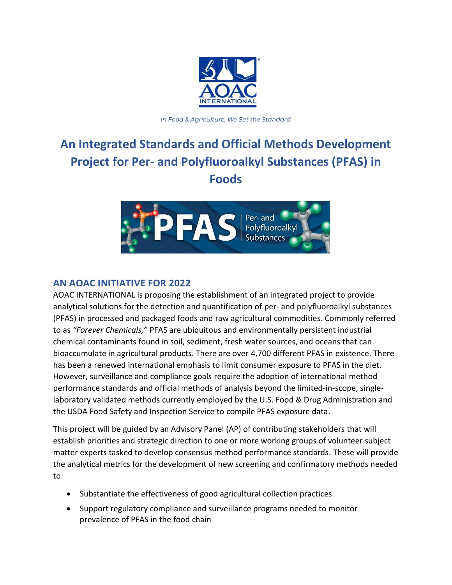

In Food & Agriculture, We Set the Standard

# **An Integrated Standards and Official Methods Development Project for Per- and Polyfluoroalkyl Substances (PFAS) in Foods**



# **AN AOAC INITIATIVE FOR 2022**

AOAC INTERNATIONAL is proposing the establishment of an integrated project to provide analytical solutions for the detection and quantification of per- and polyfluoroalkyl substances (PFAS) in processed and packaged foods and raw agricultural commodities. Commonly referred to as *"Forever Chemicals,"* PFAS are ubiquitous and environmentally persistent industrial chemical contaminants found in soil, sediment, fresh water sources, and oceans that can bioaccumulate in agricultural products. There are over 4,700 different PFAS in existence. There has been a renewed international emphasis to limit consumer exposure to PFAS in the diet. However, surveillance and compliance goals require the adoption of international method performance standards and official methods of analysis beyond the limited-in-scope, singlelaboratory validated methods currently employed by the U.S. Food & Drug Administration and the USDA Food Safety and Inspection Service to compile PFAS exposure data.

This project will be guided by an Advisory Panel (AP) of contributing stakeholders that will establish priorities and strategic direction to one or more working groups of volunteer subject matter experts tasked to develop consensus method performance standards. These will provide the analytical metrics for the development of new screening and confirmatory methods needed to:

- Substantiate the effectiveness of good agricultural collection practices
- Support regulatory compliance and surveillance programs needed to monitor prevalence of PFAS in the food chain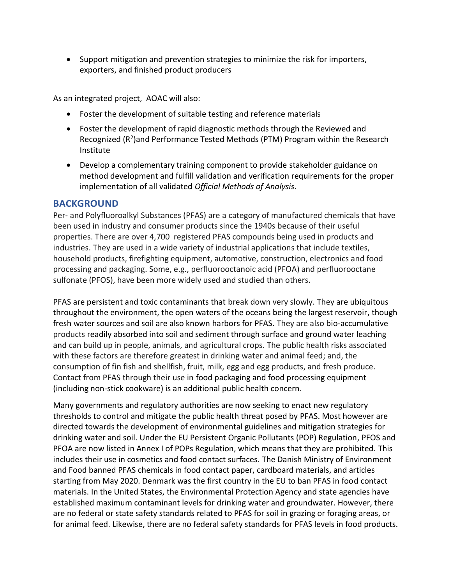• Support mitigation and prevention strategies to minimize the risk for importers, exporters, and finished product producers

As an integrated project, AOAC will also:

- Foster the development of suitable testing and reference materials
- Foster the development of rapid diagnostic methods through the Reviewed and Recognized (R<sup>2</sup>)and Performance Tested Methods (PTM) Program within the Research Institute
- Develop a complementary training component to provide stakeholder guidance on method development and fulfill validation and verification requirements for the proper implementation of all validated *Official Methods of Analysis*.

#### **BACKGROUND**

Per- and Polyfluoroalkyl Substances (PFAS) are a category of manufactured chemicals that have been used in industry and consumer products since the 1940s because of their useful properties. There are over 4,700 registered PFAS compounds being used in products and industries. They are used in a wide variety of industrial applications that include textiles, household products, firefighting equipment, automotive, construction, electronics and food processing and packaging. Some, e.g., perfluorooctanoic acid (PFOA) and perfluorooctane sulfonate (PFOS), have been more widely used and studied than others.

PFAS are persistent and toxic contaminants that break down very slowly. They are ubiquitous throughout the environment, the open waters of the oceans being the largest reservoir, though fresh water sources and soil are also known harbors for PFAS. They are also bio-accumulative products readily absorbed into soil and sediment through surface and ground water leaching and can build up in people, animals, and agricultural crops. The public health risks associated with these factors are therefore greatest in drinking water and animal feed; and, the consumption of fin fish and shellfish, fruit, milk, egg and egg products, and fresh produce. Contact from PFAS through their use in food packaging and food processing equipment (including non-stick cookware) is an additional public health concern.

Many governments and regulatory authorities are now seeking to enact new regulatory thresholds to control and mitigate the public health threat posed by PFAS. Most however are directed towards the development of environmental guidelines and mitigation strategies for drinking water and soil. Under the EU Persistent Organic Pollutants (POP) Regulation, PFOS and PFOA are now listed in Annex I of POPs Regulation, which means that they are prohibited. This includes their use in cosmetics and food contact surfaces. The Danish Ministry of Environment and Food banned PFAS chemicals in food contact paper, cardboard materials, and articles starting from May 2020. Denmark was the first country in the EU to ban PFAS in food contact materials. In the United States, the Environmental Protection Agency and state agencies have established maximum contaminant levels for drinking water and groundwater. However, there are no federal or state safety standards related to PFAS for soil in grazing or foraging areas, or for animal feed. Likewise, there are no federal safety standards for PFAS levels in food products.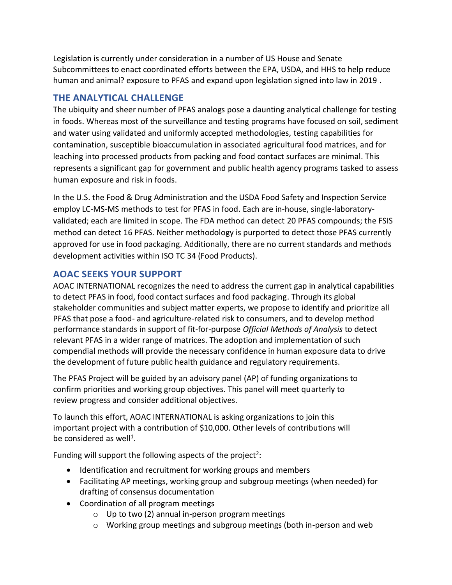Legislation is currently under consideration in a number of US House and Senate Subcommittees to enact coordinated efforts between the EPA, USDA, and HHS to help reduce human and animal? exposure to PFAS and expand upon legislation signed into law in 2019 .

## **THE ANALYTICAL CHALLENGE**

The ubiquity and sheer number of PFAS analogs pose a daunting analytical challenge for testing in foods. Whereas most of the surveillance and testing programs have focused on soil, sediment and water using validated and uniformly accepted methodologies, testing capabilities for contamination, susceptible bioaccumulation in associated agricultural food matrices, and for leaching into processed products from packing and food contact surfaces are minimal. This represents a significant gap for government and public health agency programs tasked to assess human exposure and risk in foods.

In the U.S. the Food & Drug Administration and the USDA Food Safety and Inspection Service employ LC-MS-MS methods to test for PFAS in food. Each are in-house, single-laboratoryvalidated; each are limited in scope. The FDA method can detect 20 PFAS compounds; the FSIS method can detect 16 PFAS. Neither methodology is purported to detect those PFAS currently approved for use in food packaging. Additionally, there are no current standards and methods development activities within ISO TC 34 (Food Products).

# **AOAC SEEKS YOUR SUPPORT**

AOAC INTERNATIONAL recognizes the need to address the current gap in analytical capabilities to detect PFAS in food, food contact surfaces and food packaging. Through its global stakeholder communities and subject matter experts, we propose to identify and prioritize all PFAS that pose a food- and agriculture-related risk to consumers, and to develop method performance standards in support of fit-for-purpose *Official Methods of Analysis* to detect relevant PFAS in a wider range of matrices. The adoption and implementation of such compendial methods will provide the necessary confidence in human exposure data to drive the development of future public health guidance and regulatory requirements.

The PFAS Project will be guided by an advisory panel (AP) of funding organizations to confirm priorities and working group objectives. This panel will meet quarterly to review progress and consider additional objectives.

To launch this effort, AOAC INTERNATIONAL is asking organizations to join this important project with a contribution of \$10,000. Other levels of contributions will be considered as well<sup>1</sup>.

Funding will support the following aspects of the project<sup>2</sup>:

- Identification and recruitment for working groups and members
- Facilitating AP meetings, working group and subgroup meetings (when needed) for drafting of consensus documentation
- Coordination of all program meetings
	- $\circ$  Up to two (2) annual in-person program meetings
	- $\circ$  Working group meetings and subgroup meetings (both in-person and web